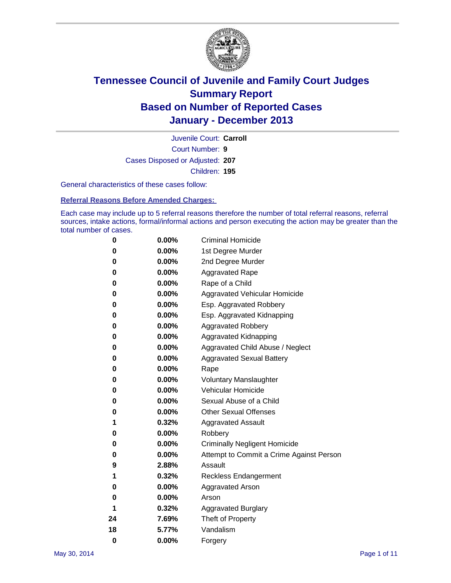

Court Number: **9** Juvenile Court: **Carroll** Cases Disposed or Adjusted: **207** Children: **195**

General characteristics of these cases follow:

**Referral Reasons Before Amended Charges:** 

Each case may include up to 5 referral reasons therefore the number of total referral reasons, referral sources, intake actions, formal/informal actions and person executing the action may be greater than the total number of cases.

| 0        | 0.00%    | <b>Criminal Homicide</b>                 |
|----------|----------|------------------------------------------|
| 0        | 0.00%    | 1st Degree Murder                        |
| 0        | 0.00%    | 2nd Degree Murder                        |
| 0        | $0.00\%$ | <b>Aggravated Rape</b>                   |
| 0        | 0.00%    | Rape of a Child                          |
| 0        | 0.00%    | <b>Aggravated Vehicular Homicide</b>     |
| 0        | 0.00%    | Esp. Aggravated Robbery                  |
| 0        | 0.00%    | Esp. Aggravated Kidnapping               |
| 0        | $0.00\%$ | <b>Aggravated Robbery</b>                |
| 0        | 0.00%    | Aggravated Kidnapping                    |
| 0        | 0.00%    | Aggravated Child Abuse / Neglect         |
| 0        | 0.00%    | <b>Aggravated Sexual Battery</b>         |
| 0        | 0.00%    | Rape                                     |
| 0        | 0.00%    | <b>Voluntary Manslaughter</b>            |
| 0        | 0.00%    | Vehicular Homicide                       |
| 0        | 0.00%    | Sexual Abuse of a Child                  |
| 0        | $0.00\%$ | <b>Other Sexual Offenses</b>             |
| 1        | 0.32%    | <b>Aggravated Assault</b>                |
| 0        | 0.00%    | Robbery                                  |
| 0        | $0.00\%$ | <b>Criminally Negligent Homicide</b>     |
| 0        | 0.00%    | Attempt to Commit a Crime Against Person |
| 9        | 2.88%    | Assault                                  |
| 1        | 0.32%    | <b>Reckless Endangerment</b>             |
| 0        | 0.00%    | Aggravated Arson                         |
| 0        | $0.00\%$ | Arson                                    |
| 1        | 0.32%    | <b>Aggravated Burglary</b>               |
| 24       | 7.69%    | Theft of Property                        |
| 18       | 5.77%    | Vandalism                                |
| $\bf{0}$ | 0.00%    | Forgery                                  |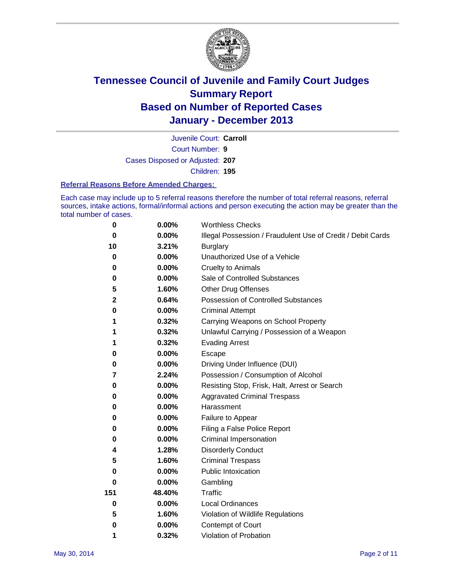

Court Number: **9** Juvenile Court: **Carroll** Cases Disposed or Adjusted: **207** Children: **195**

#### **Referral Reasons Before Amended Charges:**

Each case may include up to 5 referral reasons therefore the number of total referral reasons, referral sources, intake actions, formal/informal actions and person executing the action may be greater than the total number of cases.

| 0           | 0.00%    | <b>Worthless Checks</b>                                     |
|-------------|----------|-------------------------------------------------------------|
| 0           | 0.00%    | Illegal Possession / Fraudulent Use of Credit / Debit Cards |
| 10          | 3.21%    | <b>Burglary</b>                                             |
| 0           | 0.00%    | Unauthorized Use of a Vehicle                               |
| $\bf{0}$    | 0.00%    | <b>Cruelty to Animals</b>                                   |
| 0           | 0.00%    | Sale of Controlled Substances                               |
| 5           | 1.60%    | <b>Other Drug Offenses</b>                                  |
| $\mathbf 2$ | 0.64%    | <b>Possession of Controlled Substances</b>                  |
| 0           | $0.00\%$ | <b>Criminal Attempt</b>                                     |
| 1           | 0.32%    | Carrying Weapons on School Property                         |
| 1           | 0.32%    | Unlawful Carrying / Possession of a Weapon                  |
| 1           | 0.32%    | <b>Evading Arrest</b>                                       |
| 0           | 0.00%    | Escape                                                      |
| 0           | 0.00%    | Driving Under Influence (DUI)                               |
| 7           | 2.24%    | Possession / Consumption of Alcohol                         |
| $\bf{0}$    | 0.00%    | Resisting Stop, Frisk, Halt, Arrest or Search               |
| 0           | 0.00%    | <b>Aggravated Criminal Trespass</b>                         |
| 0           | $0.00\%$ | Harassment                                                  |
| 0           | 0.00%    | Failure to Appear                                           |
| 0           | 0.00%    | Filing a False Police Report                                |
| 0           | $0.00\%$ | Criminal Impersonation                                      |
| 4           | 1.28%    | <b>Disorderly Conduct</b>                                   |
| 5           | 1.60%    | <b>Criminal Trespass</b>                                    |
| 0           | $0.00\%$ | <b>Public Intoxication</b>                                  |
| 0           | 0.00%    | Gambling                                                    |
| 151         | 48.40%   | Traffic                                                     |
| $\mathbf 0$ | $0.00\%$ | <b>Local Ordinances</b>                                     |
| 5           | 1.60%    | Violation of Wildlife Regulations                           |
| 0           | 0.00%    | Contempt of Court                                           |
| 1           | 0.32%    | Violation of Probation                                      |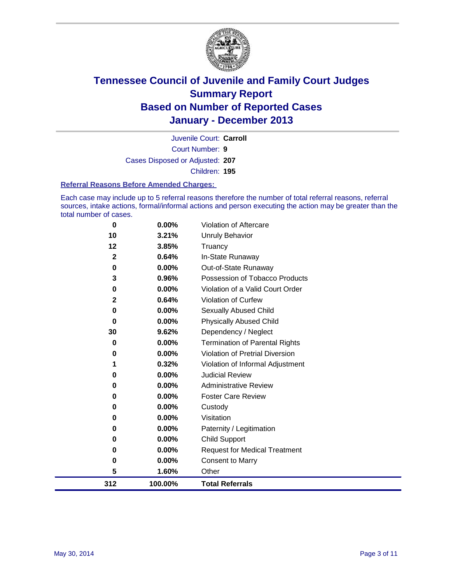

Court Number: **9** Juvenile Court: **Carroll** Cases Disposed or Adjusted: **207** Children: **195**

#### **Referral Reasons Before Amended Charges:**

Each case may include up to 5 referral reasons therefore the number of total referral reasons, referral sources, intake actions, formal/informal actions and person executing the action may be greater than the total number of cases.

| 0            | 0.00%    | Violation of Aftercare                 |
|--------------|----------|----------------------------------------|
| 10           | 3.21%    | Unruly Behavior                        |
| 12           | 3.85%    | Truancy                                |
| $\mathbf 2$  | 0.64%    | In-State Runaway                       |
| $\bf{0}$     | 0.00%    | Out-of-State Runaway                   |
| 3            | 0.96%    | Possession of Tobacco Products         |
| 0            | 0.00%    | Violation of a Valid Court Order       |
| $\mathbf{2}$ | 0.64%    | Violation of Curfew                    |
| 0            | $0.00\%$ | Sexually Abused Child                  |
| 0            | 0.00%    | <b>Physically Abused Child</b>         |
| 30           | 9.62%    | Dependency / Neglect                   |
| $\bf{0}$     | $0.00\%$ | <b>Termination of Parental Rights</b>  |
| 0            | $0.00\%$ | <b>Violation of Pretrial Diversion</b> |
| 1            | 0.32%    | Violation of Informal Adjustment       |
| 0            | 0.00%    | <b>Judicial Review</b>                 |
| 0            | $0.00\%$ | <b>Administrative Review</b>           |
| 0            | $0.00\%$ | <b>Foster Care Review</b>              |
| 0            | 0.00%    | Custody                                |
| 0            | 0.00%    | Visitation                             |
| 0            | 0.00%    | Paternity / Legitimation               |
| 0            | 0.00%    | <b>Child Support</b>                   |
| 0            | 0.00%    | <b>Request for Medical Treatment</b>   |
| 0            | 0.00%    | <b>Consent to Marry</b>                |
| 5            | 1.60%    | Other                                  |
| 312          | 100.00%  | <b>Total Referrals</b>                 |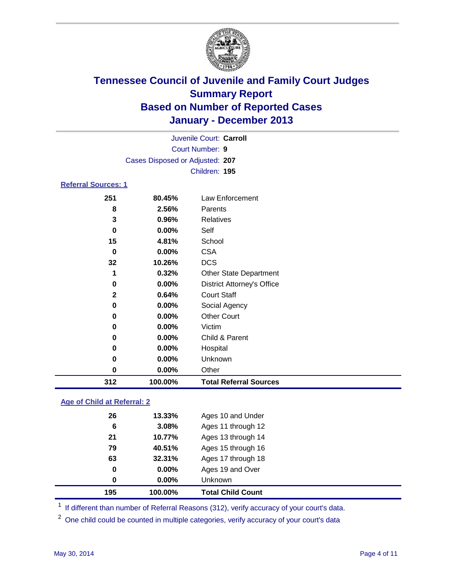

| Juvenile Court: Carroll         |  |
|---------------------------------|--|
| Court Number: 9                 |  |
| Cases Disposed or Adjusted: 207 |  |
| Children: 195                   |  |
| <b>Referral Sources: 1</b>      |  |

| 312          | 100.00%  | <b>Total Referral Sources</b>     |
|--------------|----------|-----------------------------------|
| 0            | $0.00\%$ | Other                             |
| 0            | 0.00%    | Unknown                           |
| 0            | 0.00%    | Hospital                          |
| 0            | 0.00%    | Child & Parent                    |
| 0            | 0.00%    | Victim                            |
| 0            | 0.00%    | <b>Other Court</b>                |
| 0            | 0.00%    | Social Agency                     |
| $\mathbf{2}$ | 0.64%    | <b>Court Staff</b>                |
| $\mathbf 0$  | 0.00%    | <b>District Attorney's Office</b> |
| 1            | 0.32%    | <b>Other State Department</b>     |
| 32           | 10.26%   | <b>DCS</b>                        |
| 0            | 0.00%    | <b>CSA</b>                        |
| 15           | 4.81%    | School                            |
| 0            | 0.00%    | Self                              |
| 3            | 0.96%    | Relatives                         |
| 8            | 2.56%    | Parents                           |
| 251          | 80.45%   | Law Enforcement                   |

### **Age of Child at Referral: 2**

| 195 | 100.00%   | <b>Total Child Count</b> |
|-----|-----------|--------------------------|
| 0   | 0.00%     | <b>Unknown</b>           |
| 0   | $0.00\%$  | Ages 19 and Over         |
| 63  | 32.31%    | Ages 17 through 18       |
| 79  | 40.51%    | Ages 15 through 16       |
| 21  | 10.77%    | Ages 13 through 14       |
| 6   | 3.08%     | Ages 11 through 12       |
| 26  | $13.33\%$ | Ages 10 and Under        |

<sup>1</sup> If different than number of Referral Reasons (312), verify accuracy of your court's data.

<sup>2</sup> One child could be counted in multiple categories, verify accuracy of your court's data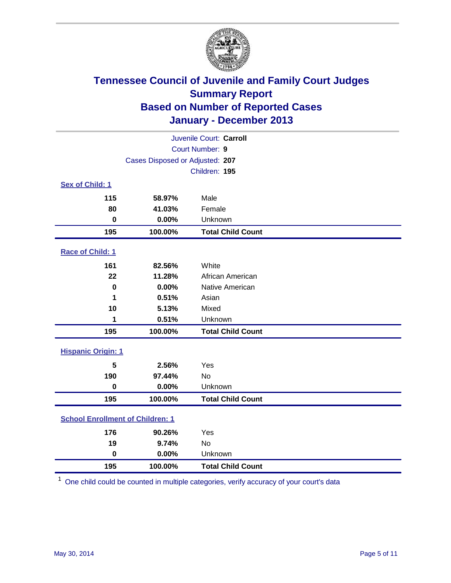

| Juvenile Court: Carroll                 |                                 |                          |  |  |
|-----------------------------------------|---------------------------------|--------------------------|--|--|
|                                         |                                 | Court Number: 9          |  |  |
|                                         | Cases Disposed or Adjusted: 207 |                          |  |  |
|                                         |                                 | Children: 195            |  |  |
| Sex of Child: 1                         |                                 |                          |  |  |
| 115                                     | 58.97%                          | Male                     |  |  |
| 80                                      | 41.03%                          | Female                   |  |  |
| $\bf{0}$                                | 0.00%                           | Unknown                  |  |  |
| 195                                     | 100.00%                         | <b>Total Child Count</b> |  |  |
| Race of Child: 1                        |                                 |                          |  |  |
| 161                                     | 82.56%                          | White                    |  |  |
| 22                                      | 11.28%                          | African American         |  |  |
| $\bf{0}$                                | 0.00%                           | Native American          |  |  |
| 1                                       | 0.51%                           | Asian                    |  |  |
| 10                                      | 5.13%                           | Mixed                    |  |  |
| 1                                       | 0.51%                           | Unknown                  |  |  |
| 195                                     | 100.00%                         | <b>Total Child Count</b> |  |  |
| <b>Hispanic Origin: 1</b>               |                                 |                          |  |  |
|                                         |                                 |                          |  |  |
| 5<br>190                                | 2.56%<br>97.44%                 | Yes<br><b>No</b>         |  |  |
| $\mathbf 0$                             | 0.00%                           | Unknown                  |  |  |
|                                         |                                 |                          |  |  |
| 195                                     | 100.00%                         | <b>Total Child Count</b> |  |  |
| <b>School Enrollment of Children: 1</b> |                                 |                          |  |  |
| 176                                     | 90.26%                          | Yes                      |  |  |
| 19                                      | 9.74%                           | <b>No</b>                |  |  |
| $\mathbf 0$                             | 0.00%                           | Unknown                  |  |  |
| 195                                     | 100.00%                         | <b>Total Child Count</b> |  |  |

One child could be counted in multiple categories, verify accuracy of your court's data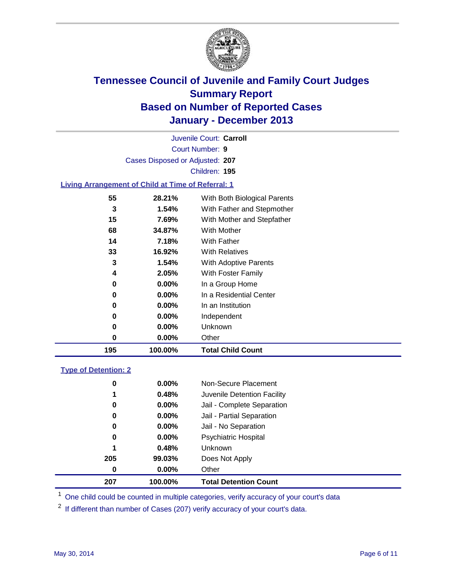

Court Number: **9** Juvenile Court: **Carroll** Cases Disposed or Adjusted: **207** Children: **195**

### **Living Arrangement of Child at Time of Referral: 1**

| 195 | 100.00%  | <b>Total Child Count</b>     |  |
|-----|----------|------------------------------|--|
| 0   | 0.00%    | Other                        |  |
| 0   | $0.00\%$ | Unknown                      |  |
| 0   | $0.00\%$ | Independent                  |  |
| 0   | $0.00\%$ | In an Institution            |  |
| 0   | $0.00\%$ | In a Residential Center      |  |
| 0   | $0.00\%$ | In a Group Home              |  |
| 4   | 2.05%    | With Foster Family           |  |
| 3   | 1.54%    | <b>With Adoptive Parents</b> |  |
| 33  | 16.92%   | <b>With Relatives</b>        |  |
| 14  | 7.18%    | With Father                  |  |
| 68  | 34.87%   | With Mother                  |  |
| 15  | 7.69%    | With Mother and Stepfather   |  |
| 3   | $1.54\%$ | With Father and Stepmother   |  |
| 55  | 28.21%   | With Both Biological Parents |  |
|     |          |                              |  |

#### **Type of Detention: 2**

| 207 | 100.00%  | <b>Total Detention Count</b> |  |
|-----|----------|------------------------------|--|
| 0   | 0.00%    | Other                        |  |
| 205 | 99.03%   | Does Not Apply               |  |
| 1   | 0.48%    | <b>Unknown</b>               |  |
| 0   | $0.00\%$ | <b>Psychiatric Hospital</b>  |  |
| 0   | 0.00%    | Jail - No Separation         |  |
| 0   | 0.00%    | Jail - Partial Separation    |  |
| 0   | $0.00\%$ | Jail - Complete Separation   |  |
| 1   | 0.48%    | Juvenile Detention Facility  |  |
| 0   | 0.00%    | Non-Secure Placement         |  |
|     |          |                              |  |

<sup>1</sup> One child could be counted in multiple categories, verify accuracy of your court's data

<sup>2</sup> If different than number of Cases (207) verify accuracy of your court's data.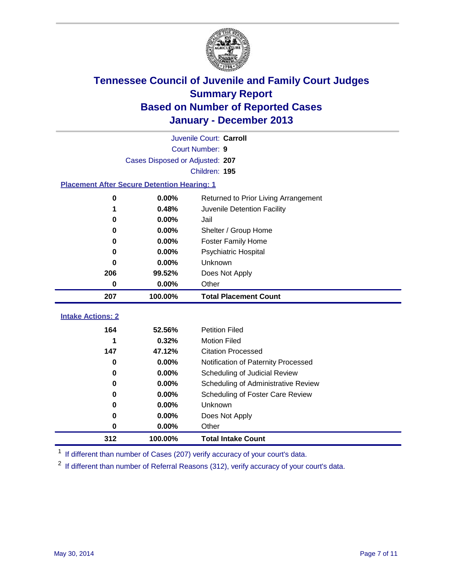

|                                                    | Juvenile Court: Carroll         |                                      |  |  |  |  |  |
|----------------------------------------------------|---------------------------------|--------------------------------------|--|--|--|--|--|
|                                                    | Court Number: 9                 |                                      |  |  |  |  |  |
|                                                    | Cases Disposed or Adjusted: 207 |                                      |  |  |  |  |  |
| Children: 195                                      |                                 |                                      |  |  |  |  |  |
| <b>Placement After Secure Detention Hearing: 1</b> |                                 |                                      |  |  |  |  |  |
| 0                                                  | 0.00%                           | Returned to Prior Living Arrangement |  |  |  |  |  |
| 1                                                  | 0.48%                           | Juvenile Detention Facility          |  |  |  |  |  |
| 0                                                  | 0.00%                           | Jail                                 |  |  |  |  |  |
| 0                                                  | 0.00%                           | Shelter / Group Home                 |  |  |  |  |  |
| 0                                                  | 0.00%                           | <b>Foster Family Home</b>            |  |  |  |  |  |
| 0                                                  | 0.00%                           | <b>Psychiatric Hospital</b>          |  |  |  |  |  |
| U                                                  | 0.00%                           | Unknown                              |  |  |  |  |  |
| 206                                                | 99.52%                          | Does Not Apply                       |  |  |  |  |  |
| 0                                                  | $0.00\%$                        | Other                                |  |  |  |  |  |
| 207                                                | 100.00%                         | <b>Total Placement Count</b>         |  |  |  |  |  |
|                                                    |                                 |                                      |  |  |  |  |  |
| <b>Intake Actions: 2</b>                           |                                 |                                      |  |  |  |  |  |
| 164                                                | 52.56%                          | <b>Petition Filed</b>                |  |  |  |  |  |
| 1                                                  | 0.32%                           | <b>Motion Filed</b>                  |  |  |  |  |  |
| 147                                                | 47.12%                          | <b>Citation Processed</b>            |  |  |  |  |  |
| 0                                                  | 0.00%                           | Notification of Paternity Processed  |  |  |  |  |  |
| 0                                                  | 0.00%                           | Scheduling of Judicial Review        |  |  |  |  |  |
| 0                                                  | 0.00%                           | Scheduling of Administrative Review  |  |  |  |  |  |
| 0                                                  | $0.00\%$                        | Scheduling of Foster Care Review     |  |  |  |  |  |
| 0                                                  | 0.00%                           | Unknown                              |  |  |  |  |  |
| 0                                                  | 0.00%                           | Does Not Apply                       |  |  |  |  |  |
| 0                                                  | 0.00%                           | Other                                |  |  |  |  |  |
| 312                                                | 100.00%                         | <b>Total Intake Count</b>            |  |  |  |  |  |

<sup>1</sup> If different than number of Cases (207) verify accuracy of your court's data.

If different than number of Referral Reasons (312), verify accuracy of your court's data.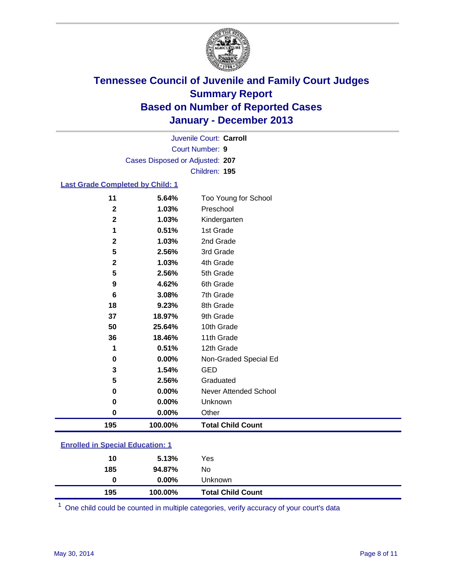

Court Number: **9** Juvenile Court: **Carroll** Cases Disposed or Adjusted: **207** Children: **195**

#### **Last Grade Completed by Child: 1**

| 195          | 100.00% | <b>Total Child Count</b> |
|--------------|---------|--------------------------|
| 0            | 0.00%   | Other                    |
| 0            | 0.00%   | Unknown                  |
| 0            | 0.00%   | Never Attended School    |
| 5            | 2.56%   | Graduated                |
| 3            | 1.54%   | <b>GED</b>               |
| $\bf{0}$     | 0.00%   | Non-Graded Special Ed    |
| 1            | 0.51%   | 12th Grade               |
| 36           | 18.46%  | 11th Grade               |
| 50           | 25.64%  | 10th Grade               |
| 37           | 18.97%  | 9th Grade                |
| 18           | 9.23%   | 8th Grade                |
| 6            | 3.08%   | 7th Grade                |
| 9            | 4.62%   | 6th Grade                |
| 5            | 2.56%   | 5th Grade                |
| $\mathbf 2$  | 1.03%   | 4th Grade                |
| 5            | 2.56%   | 3rd Grade                |
| $\mathbf{2}$ | 1.03%   | 2nd Grade                |
| 1            | 0.51%   | 1st Grade                |
| $\mathbf 2$  | 1.03%   | Kindergarten             |
| $\mathbf{2}$ | 1.03%   | Preschool                |
| 11           | 5.64%   | Too Young for School     |

| <b>Enrolled in Special Education: 1</b> |       |     |  |  |
|-----------------------------------------|-------|-----|--|--|
|                                         | 5.13% | Yes |  |  |

| 195 | 100.00%  | <b>Total Child Count</b> |  |
|-----|----------|--------------------------|--|
| 0   | $0.00\%$ | Unknown                  |  |
| 185 | 94.87%   | No                       |  |
| 10  | 5.13%    | Yes                      |  |

One child could be counted in multiple categories, verify accuracy of your court's data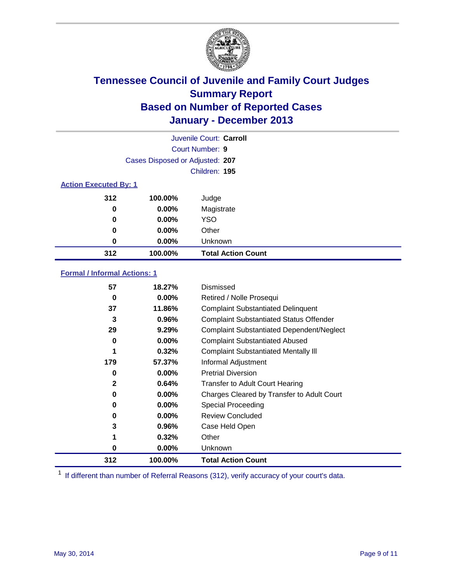

|                              |                                 | Juvenile Court: Carroll   |
|------------------------------|---------------------------------|---------------------------|
|                              |                                 | <b>Court Number: 9</b>    |
|                              | Cases Disposed or Adjusted: 207 |                           |
|                              |                                 | Children: 195             |
| <b>Action Executed By: 1</b> |                                 |                           |
| 312                          | 100.00%                         | Judge                     |
| 0                            | $0.00\%$                        | Magistrate                |
| $\bf{0}$                     | $0.00\%$                        | <b>YSO</b>                |
| 0                            | $0.00\%$                        | Other                     |
| 0                            | $0.00\%$                        | Unknown                   |
| 312                          | 100.00%                         | <b>Total Action Count</b> |

### **Formal / Informal Actions: 1**

| 57               | 18.27%   | Dismissed                                        |
|------------------|----------|--------------------------------------------------|
| 0                | $0.00\%$ | Retired / Nolle Prosequi                         |
| 37               | 11.86%   | <b>Complaint Substantiated Delinquent</b>        |
| 3                | 0.96%    | <b>Complaint Substantiated Status Offender</b>   |
| 29               | 9.29%    | <b>Complaint Substantiated Dependent/Neglect</b> |
| 0                | $0.00\%$ | <b>Complaint Substantiated Abused</b>            |
| 1                | 0.32%    | <b>Complaint Substantiated Mentally III</b>      |
| 179              | 57.37%   | Informal Adjustment                              |
| 0                | $0.00\%$ | <b>Pretrial Diversion</b>                        |
| $\boldsymbol{2}$ | 0.64%    | <b>Transfer to Adult Court Hearing</b>           |
| 0                | $0.00\%$ | Charges Cleared by Transfer to Adult Court       |
| 0                | $0.00\%$ | Special Proceeding                               |
| 0                | $0.00\%$ | <b>Review Concluded</b>                          |
| 3                | 0.96%    | Case Held Open                                   |
| 1                | 0.32%    | Other                                            |
| 0                | $0.00\%$ | Unknown                                          |
| 312              | 100.00%  | <b>Total Action Count</b>                        |

<sup>1</sup> If different than number of Referral Reasons (312), verify accuracy of your court's data.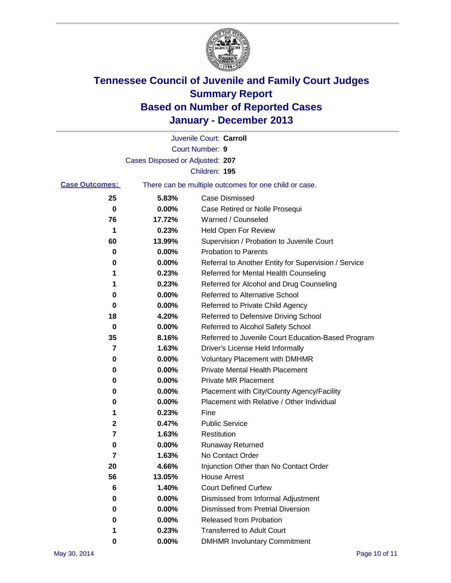

|                       |                                 | Juvenile Court: Carroll                               |
|-----------------------|---------------------------------|-------------------------------------------------------|
|                       |                                 | Court Number: 9                                       |
|                       | Cases Disposed or Adjusted: 207 |                                                       |
|                       |                                 | Children: 195                                         |
| <b>Case Outcomes:</b> |                                 | There can be multiple outcomes for one child or case. |
| 25                    | 5.83%                           | Case Dismissed                                        |
| 0                     | 0.00%                           | Case Retired or Nolle Prosequi                        |
| 76                    | 17.72%                          | Warned / Counseled                                    |
| 1                     | 0.23%                           | Held Open For Review                                  |
| 60                    | 13.99%                          | Supervision / Probation to Juvenile Court             |
| 0                     | 0.00%                           | <b>Probation to Parents</b>                           |
| 0                     | 0.00%                           | Referral to Another Entity for Supervision / Service  |
| 1                     | 0.23%                           | Referred for Mental Health Counseling                 |
| 1                     | 0.23%                           | Referred for Alcohol and Drug Counseling              |
| 0                     | 0.00%                           | Referred to Alternative School                        |
| 0                     | 0.00%                           | Referred to Private Child Agency                      |
| 18                    | 4.20%                           | Referred to Defensive Driving School                  |
| 0                     | 0.00%                           | Referred to Alcohol Safety School                     |
| 35                    | 8.16%                           | Referred to Juvenile Court Education-Based Program    |
| 7                     | 1.63%                           | Driver's License Held Informally                      |
| 0                     | 0.00%                           | <b>Voluntary Placement with DMHMR</b>                 |
| 0                     | 0.00%                           | <b>Private Mental Health Placement</b>                |
| 0                     | 0.00%                           | <b>Private MR Placement</b>                           |
| 0                     | 0.00%                           | Placement with City/County Agency/Facility            |
| 0                     | 0.00%                           | Placement with Relative / Other Individual            |
| 1                     | 0.23%                           | Fine                                                  |
| 2                     | 0.47%                           | <b>Public Service</b>                                 |
| 7                     | 1.63%                           | Restitution                                           |
| 0                     | 0.00%                           | <b>Runaway Returned</b>                               |
| 7                     | 1.63%                           | No Contact Order                                      |
| 20                    | 4.66%                           | Injunction Other than No Contact Order                |
| 56                    | 13.05%                          | <b>House Arrest</b>                                   |
| $6\phantom{1}6$       | 1.40%                           | <b>Court Defined Curfew</b>                           |
| 0                     | 0.00%                           | Dismissed from Informal Adjustment                    |
| 0                     | 0.00%                           | Dismissed from Pretrial Diversion                     |
| 0                     | 0.00%                           | Released from Probation                               |
| 1                     | 0.23%                           | <b>Transferred to Adult Court</b>                     |
| 0                     | 0.00%                           | <b>DMHMR Involuntary Commitment</b>                   |